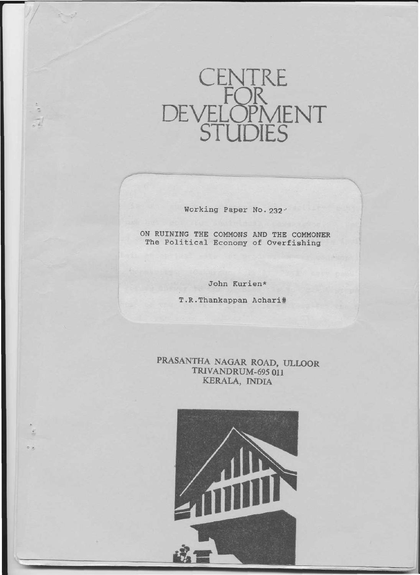

Working Paper No. 232

ON RUINING THE COMMONS AND THE COMMONER The Political Economy of Overfishing

John Kurien\*

T.R.Thankappan Achari#

PRASANTHA NAGAR ROAD, ULLOOR TRIVANDRUM-695 011 KERALA, INDIA

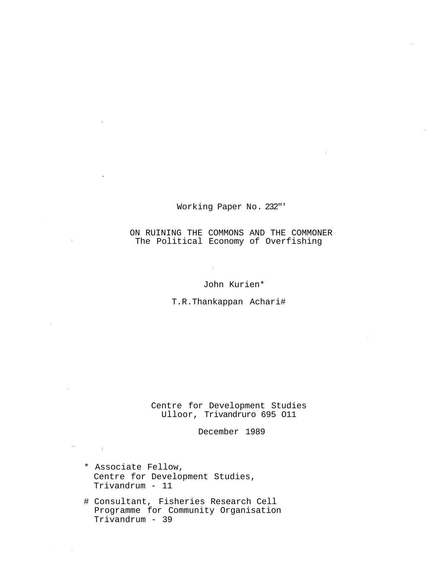# Working Paper No. 232"'

# ON RUINING THE COMMONS AND THE COMMONER The Political Economy of Overfishing

John Kurien\*

T.R.Thankappan Achari#

Centre for Development Studies Ulloor, Trivandruro 695 O11

December 1989

\* Associate Fellow, Centre for Development Studies, Trivandrum - 11

 $\sim 10^{11}$  km  $^{-1}$ 

# Consultant, Fisheries Research Cell Programme for Community Organisation Trivandrum - 39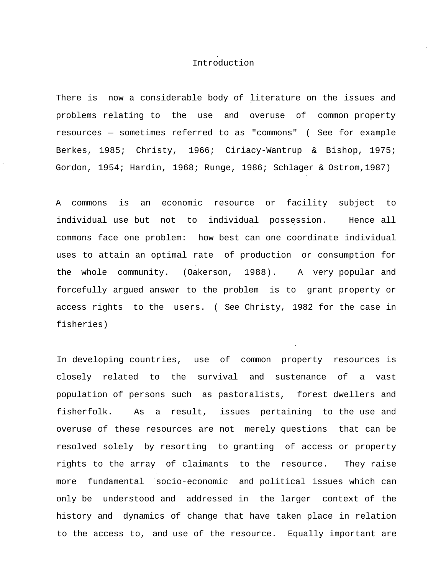### Introduction

There is now a considerable body of literature on the issues and problems relating to the use and overuse of common property resources — sometimes referred to as "commons" ( See for example Berkes, 1985; Christy, 1966; Ciriacy-Wantrup & Bishop, 1975; Gordon, 1954; Hardin, 1968; Runge, 1986; Schlager & Ostrom,1987)

A commons is an economic resource or facility subject to individual use but not to individual possession. Hence all commons face one problem: how best can one coordinate individual uses to attain an optimal rate of production or consumption for the whole community. (Oakerson, 1988). A very popular and forcefully argued answer to the problem is to grant property or access rights to the users. ( See Christy, 1982 for the case in fisheries)

In developing countries, use of common property resources is closely related to the survival and sustenance of a vast population of persons such as pastoralists, forest dwellers and fisherfolk. As a result, issues pertaining to the use and overuse of these resources are not merely questions that can be resolved solely by resorting to granting of access or property rights to the array of claimants to the resource. They raise more fundamental socio-economic and political issues which can only be understood and addressed in the larger context of the history and dynamics of change that have taken place in relation to the access to, and use of the resource. Equally important are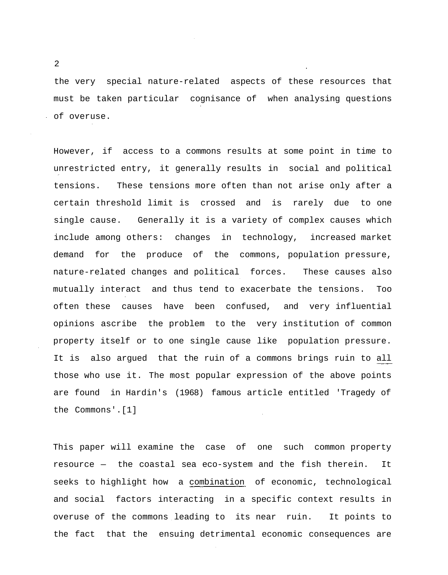the very special nature-related aspects of these resources that must be taken particular cognisance of when analysing questions of overuse.

However, if access to a commons results at some point in time to unrestricted entry, it generally results in social and political tensions. These tensions more often than not arise only after a certain threshold limit is crossed and is rarely due to one single cause. Generally it is a variety of complex causes which include among others: changes in technology, increased market demand for the produce of the commons, population pressure, nature-related changes and political forces. These causes also mutually interact and thus tend to exacerbate the tensions. Too often these causes have been confused, and very influential opinions ascribe the problem to the very institution of common property itself or to one single cause like population pressure. It is also argued that the ruin of a commons brings ruin to all those who use it. The most popular expression of the above points are found in Hardin's (1968) famous article entitled 'Tragedy of the Commons'.[1]

This paper will examine the case of one such common property resource — the coastal sea eco-system and the fish therein. It seeks to highlight how a combination of economic, technological and social factors interacting in a specific context results in overuse of the commons leading to its near ruin. It points to the fact that the ensuing detrimental economic consequences are

 $\overline{2}$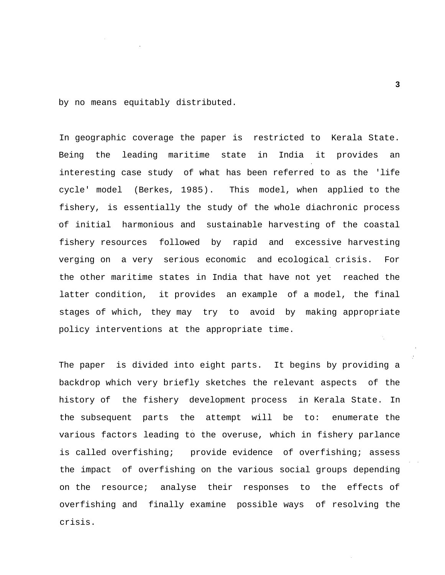by no means equitably distributed.

In geographic coverage the paper is restricted to Kerala State. Being the leading maritime state in India it provides an interesting case study of what has been referred to as the 'life cycle' model (Berkes, 1985). This model, when applied to the fishery, is essentially the study of the whole diachronic process of initial harmonious and sustainable harvesting of the coastal fishery resources followed by rapid and excessive harvesting verging on a very serious economic and ecological crisis. For the other maritime states in India that have not yet reached the latter condition, it provides an example of a model, the final stages of which, they may try to avoid by making appropriate policy interventions at the appropriate time.

The paper is divided into eight parts. It begins by providing a backdrop which very briefly sketches the relevant aspects of the history of the fishery development process in Kerala State. In the subsequent parts the attempt will be to: enumerate the various factors leading to the overuse, which in fishery parlance is called overfishing; provide evidence of overfishing; assess the impact of overfishing on the various social groups depending on the resource; analyse their responses to the effects of overfishing and finally examine possible ways of resolving the crisis.

 $\dot{\gamma}_1$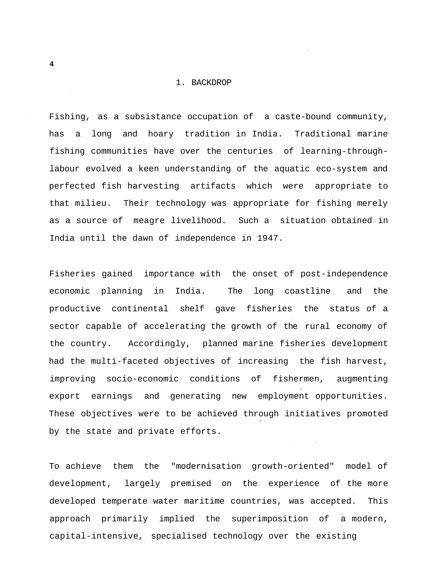### 1. BACKDROP

Fishing, as a subsistance occupation of a caste-bound community, has a long and hoary tradition in India. Traditional marine fishing communities have over the centuries of learning-throughlabour evolved a keen understanding of the aquatic eco-system and perfected fish harvesting artifacts which were appropriate to that milieu. Their technology was appropriate for fishing merely as a source of meagre livelihood. Such a situation obtained in India until the dawn of independence in 1947.

Fisheries gained importance with the onset of post-independence economic planning in India. The long coastline and the productive continental shelf gave fisheries the status of a sector capable of accelerating the growth of the rural economy of the country. Accordingly, planned marine fisheries development had the multi-faceted objectives of increasing the fish harvest, improving socio-economic conditions of fishermen, augmenting export earnings and generating new employment opportunities. These objectives were to be achieved through initiatives promoted by the state and private efforts.

To achieve them the "modernisation growth-oriented" model of development, largely premised on the experience of the more developed temperate water maritime countries, was accepted. This approach primarily implied the superimposition of a modern, capital-intensive, specialised technology over the existing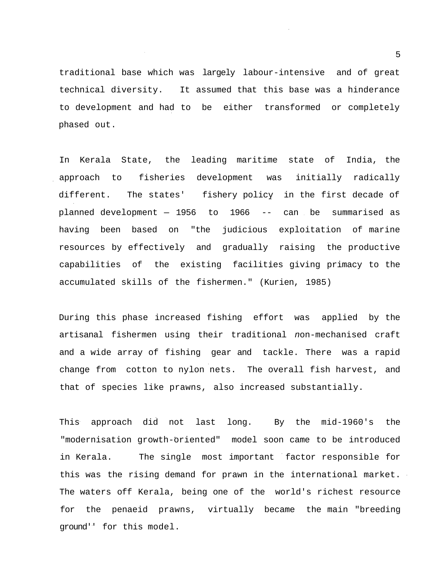traditional base which was largely labour-intensive and of great technical diversity. It assumed that this base was a hinderance to development and had to be either transformed or completely phased out.

In Kerala State, the leading maritime state of India, the approach to fisheries development was initially radically different. The states' fishery policy in the first decade of planned development — 1956 to 1966 -- can be summarised as having been based on "the judicious exploitation of marine resources by effectively and gradually raising the productive capabilities of the existing facilities giving primacy to the accumulated skills of the fishermen." (Kurien, 1985)

During this phase increased fishing effort was applied by the artisanal fishermen using their traditional non-mechanised craft and a wide array of fishing gear and tackle. There was a rapid change from cotton to nylon nets. The overall fish harvest, and that of species like prawns, also increased substantially.

This approach did not last long. By the mid-1960's the "modernisation growth-oriented" model soon came to be introduced in Kerala. The single most important factor responsible for this was the rising demand for prawn in the international market. The waters off Kerala, being one of the world's richest resource for the penaeid prawns, virtually became the main "breeding ground'' for this model.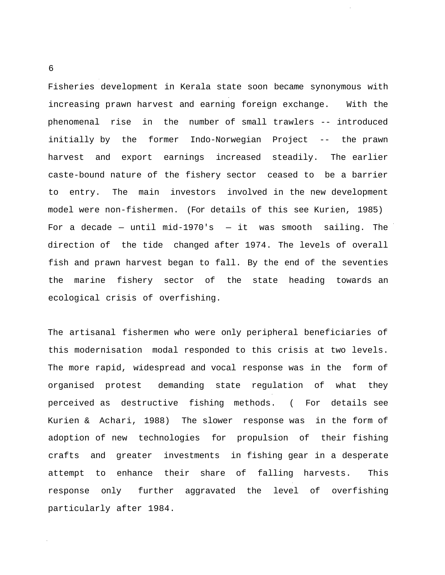Fisheries development in Kerala state soon became synonymous with increasing prawn harvest and earning foreign exchange. With the phenomenal rise in the number of small trawlers -- introduced initially by the former Indo-Norwegian Project -- the prawn harvest and export earnings increased steadily. The earlier caste-bound nature of the fishery sector ceased to be a barrier to entry. The main investors involved in the new development model were non-fishermen. (For details of this see Kurien, 1985) For a decade – until mid-1970's  $-$  it was smooth sailing. The direction of the tide changed after 1974. The levels of overall fish and prawn harvest began to fall. By the end of the seventies the marine fishery sector of the state heading towards an ecological crisis of overfishing.

The artisanal fishermen who were only peripheral beneficiaries of this modernisation modal responded to this crisis at two levels. The more rapid, widespread and vocal response was in the form of organised protest demanding state regulation of what they perceived as destructive fishing methods. ( For details see Kurien & Achari, 1988) The slower response was in the form of adoption of new technologies for propulsion of their fishing crafts and greater investments in fishing gear in a desperate attempt to enhance their share of falling harvests. This response only further aggravated the level of overfishing particularly after 1984.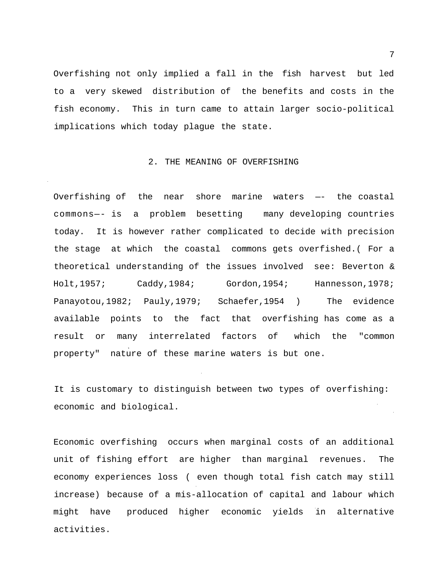Overfishing not only implied a fall in the fish harvest but led to a very skewed distribution of the benefits and costs in the fish economy. This in turn came to attain larger socio-political implications which today plague the state.

### 2. THE MEANING OF OVERFISHING

Overfishing of the near shore marine waters —- the coastal commons—- is a problem besetting many developing countries today. It is however rather complicated to decide with precision the stage at which the coastal commons gets overfished.( For a theoretical understanding of the issues involved see: Beverton & Holt,1957; Caddy,1984; Gordon,1954; Hannesson,1978; Panayotou,1982; Pauly,1979; Schaefer,1954 ) The evidence available points to the fact that overfishing has come as a result or many interrelated factors of which the "common property" nature of these marine waters is but one.

It is customary to distinguish between two types of overfishing: economic and biological.

Economic overfishing occurs when marginal costs of an additional unit of fishing effort are higher than marginal revenues. The economy experiences loss ( even though total fish catch may still increase) because of a mis-allocation of capital and labour which might have produced higher economic yields in alternative activities.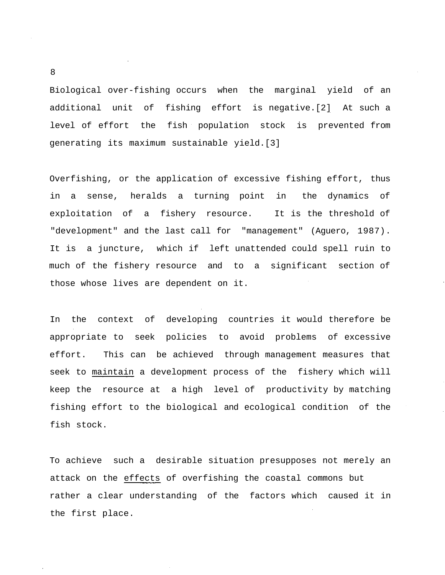Biological over-fishing occurs when the marginal yield of an additional unit of fishing effort is negative.[2] At such a level of effort the fish population stock is prevented from generating its maximum sustainable yield.[3]

Overfishing, or the application of excessive fishing effort, thus in a sense, heralds a turning point in the dynamics of exploitation of a fishery resource. It is the threshold of "development" and the last call for "management" (Aguero, 1987). It is a juncture, which if left unattended could spell ruin to much of the fishery resource and to a significant section of those whose lives are dependent on it.

In the context of developing countries it would therefore be appropriate to seek policies to avoid problems of excessive effort. This can be achieved through management measures that seek to maintain a development process of the fishery which will keep the resource at a high level of productivity by matching fishing effort to the biological and ecological condition of the fish stock.

To achieve such a desirable situation presupposes not merely an attack on the effects of overfishing the coastal commons but rather a clear understanding of the factors which caused it in the first place.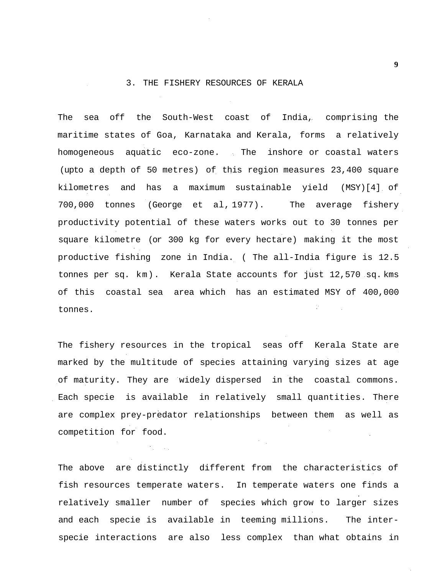## 3. THE FISHERY RESOURCES OF KERALA

The sea off the South-West coast of India, comprising the maritime states of Goa, Karnataka and Kerala, forms a relatively homogeneous aquatic eco-zone. The inshore or coastal waters (upto a depth of 50 metres) of this region measures 23,400 square kilometres and has a maximum sustainable yield (MSY)[4] of 700,000 tonnes (George et al, 1977). The average fishery productivity potential of these waters works out to 30 tonnes per square kilometre (or 300 kg for every hectare) making it the most productive fishing zone in India. ( The all-India figure is 12.5 tonnes per sq. km). Kerala State accounts for just 12,570 sq. kms of this coastal sea area which has an estimated MSY of 400,000 tonnes.

The fishery resources in the tropical seas off Kerala State are marked by the multitude of species attaining varying sizes at age of maturity. They are widely dispersed in the coastal commons. Each specie is available in relatively small quantities. There are complex prey-predator relationships between them as well as competition for food.  $\mathcal{A}_{\mathcal{A}}$ 

The above are distinctly different from the characteristics of fish resources temperate waters. In temperate waters one finds a relatively smaller number of species which grow to larger sizes and each specie is available in teeming millions. The interspecie interactions are also less complex than what obtains in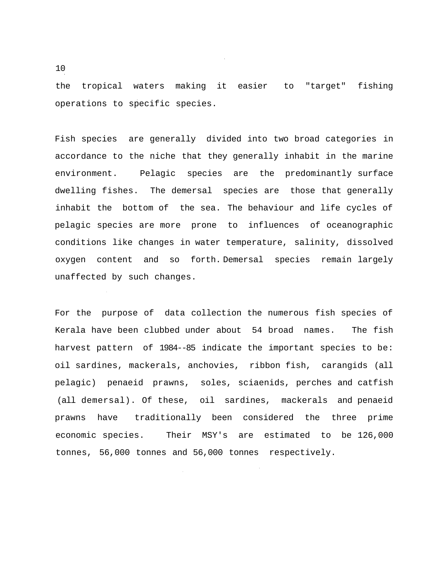the tropical waters making it easier to "target" fishing operations to specific species.

Fish species are generally divided into two broad categories in accordance to the niche that they generally inhabit in the marine environment. Pelagic species are the predominantly surface dwelling fishes. The demersal species are those that generally inhabit the bottom of the sea. The behaviour and life cycles of pelagic species are more prone to influences of oceanographic conditions like changes in water temperature, salinity, dissolved oxygen content and so forth. Demersal species remain largely unaffected by such changes.

For the purpose of data collection the numerous fish species of Kerala have been clubbed under about 54 broad names. The fish harvest pattern of 1984--85 indicate the important species to be: oil sardines, mackerals, anchovies, ribbon fish, carangids (all pelagic) penaeid prawns, soles, sciaenids, perches and catfish (all demersal). Of these, oil sardines, mackerals and penaeid prawns have traditionally been considered the three prime economic species. Their MSY's are estimated to be 126,000 tonnes, 56,000 tonnes and 56,000 tonnes respectively.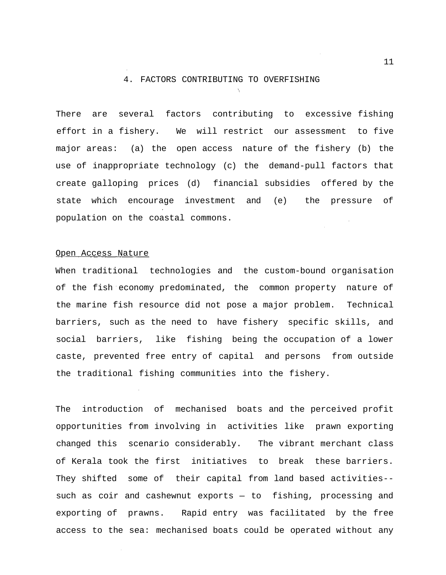### 4. FACTORS CONTRIBUTING TO OVERFISHING

There are several factors contributing to excessive fishing effort in a fishery. We will restrict our assessment to five major areas: (a) the open access nature of the fishery (b) the use of inappropriate technology (c) the demand-pull factors that create galloping prices (d) financial subsidies offered by the state which encourage investment and (e) the pressure of population on the coastal commons.

#### Open Access Nature

When traditional technologies and the custom-bound organisation of the fish economy predominated, the common property nature of the marine fish resource did not pose a major problem. Technical barriers, such as the need to have fishery specific skills, and social barriers, like fishing being the occupation of a lower caste, prevented free entry of capital and persons from outside the traditional fishing communities into the fishery.

The introduction of mechanised boats and the perceived profit opportunities from involving in activities like prawn exporting changed this scenario considerably. The vibrant merchant class of Kerala took the first initiatives to break these barriers. They shifted some of their capital from land based activities- such as coir and cashewnut exports — to fishing, processing and exporting of prawns. Rapid entry was facilitated by the free access to the sea: mechanised boats could be operated without any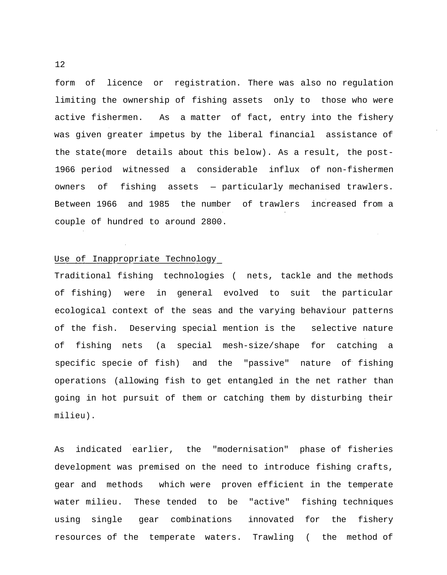form of licence or registration. There was also no regulation limiting the ownership of fishing assets only to those who were active fishermen. As a matter of fact, entry into the fishery was given greater impetus by the liberal financial assistance of the state(more details about this below). As a result, the post-1966 period witnessed a considerable influx of non-fishermen owners of fishing assets — particularly mechanised trawlers. Between 1966 and 1985 the number of trawlers increased from a couple of hundred to around 2800.

# Use of Inappropriate Technology

Traditional fishing technologies ( nets, tackle and the methods of fishing) were in general evolved to suit the particular ecological context of the seas and the varying behaviour patterns of the fish. Deserving special mention is the selective nature of fishing nets (a special mesh-size/shape for catching a specific specie of fish) and the "passive" nature of fishing operations (allowing fish to get entangled in the net rather than going in hot pursuit of them or catching them by disturbing their milieu).

As indicated earlier, the "modernisation" phase of fisheries development was premised on the need to introduce fishing crafts, gear and methods which were proven efficient in the temperate water milieu. These tended to be "active" fishing techniques using single gear combinations innovated for the fishery resources of the temperate waters. Trawling ( the method of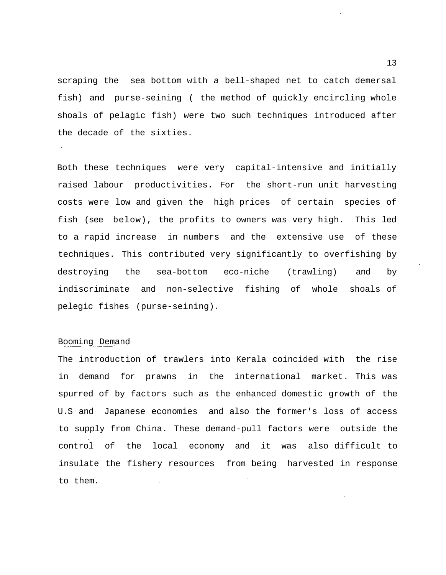scraping the sea bottom with a bell-shaped net to catch demersal fish) and purse-seining ( the method of quickly encircling whole shoals of pelagic fish) were two such techniques introduced after the decade of the sixties.

Both these techniques were very capital-intensive and initially raised labour productivities. For the short-run unit harvesting costs were low and given the high prices of certain species of fish (see below), the profits to owners was very high. This led to a rapid increase in numbers and the extensive use of these techniques. This contributed very significantly to overfishing by destroying the sea-bottom eco-niche (trawling) and by indiscriminate and non-selective fishing of whole shoals of pelegic fishes (purse-seining).

# Booming Demand

The introduction of trawlers into Kerala coincided with the rise in demand for prawns in the international market. This was spurred of by factors such as the enhanced domestic growth of the U.S and Japanese economies and also the former's loss of access to supply from China. These demand-pull factors were outside the control of the local economy and it was also difficult to insulate the fishery resources from being harvested in response to them.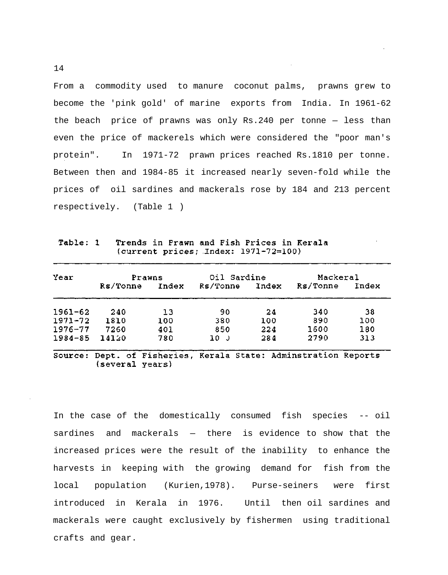From a commodity used to manure coconut palms, prawns grew to become the 'pink gold' of marine exports from India. In 1961-62 the beach price of prawns was only Rs.240 per tonne — less than even the price of mackerels which were considered the "poor man's protein". In 1971-72 prawn prices reached Rs.1810 per tonne. Between then and 1984-85 it increased nearly seven-fold while the prices of oil sardines and mackerals rose by 184 and 213 percent respectively. (Table 1 )

Trends in Prawn and Fish Prices in Kerala Table: 1 (current prices; Index: 1971-72=100)

| Year        | Prawns   |       | Oil Sardine     |       | Mackeral |       |
|-------------|----------|-------|-----------------|-------|----------|-------|
|             | Rs/Tonne | Index | <b>Rs/Tonne</b> | Index | Rs/Tonne | Index |
| $1961 - 62$ | 240      | 13    | 90              | 24    | 340      | 38    |
| $1971 - 72$ | 1810     | 100   | 380             | 100   | 890      | 100   |
| $1976 - 77$ | 7260     | 401   | 850             | 224   | 1600     | 180   |
| $1984 - 85$ | 14120    | 780   | 10 J            | 284   | 2790     | 313   |

Source: Dept. of Fisheries, Kerala State: Adminstration Reports (several years)

In the case of the domestically consumed fish species -- oil sardines and mackerals — there is evidence to show that the increased prices were the result of the inability to enhance the harvests in keeping with the growing demand for fish from the local population (Kurien,1978). Purse-seiners were first introduced in Kerala in 1976. Until then oil sardines and mackerals were caught exclusively by fishermen using traditional crafts and gear.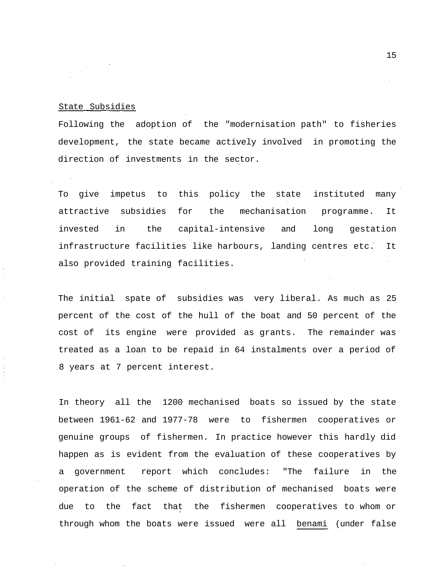## State Subsidies

Following the adoption of the "modernisation path" to fisheries development, the state became actively involved in promoting the direction of investments in the sector.

To give impetus to this policy the state instituted many attractive subsidies for the mechanisation programme. It invested in the capital-intensive and long gestation infrastructure facilities like harbours, landing centres etc. It also provided training facilities.

The initial spate of subsidies was very liberal. As much as 25 percent of the cost of the hull of the boat and 50 percent of the cost of its engine were provided as grants. The remainder was treated as a loan to be repaid in 64 instalments over a period of 8 years at 7 percent interest.

In theory all the 1200 mechanised boats so issued by the state between 1961-62 and 1977-78 were to fishermen cooperatives or genuine groups of fishermen. In practice however this hardly did happen as is evident from the evaluation of these cooperatives by a government report which concludes: "The failure in the operation of the scheme of distribution of mechanised boats were due to the fact that the fishermen cooperatives to whom or through whom the boats were issued were all benami (under false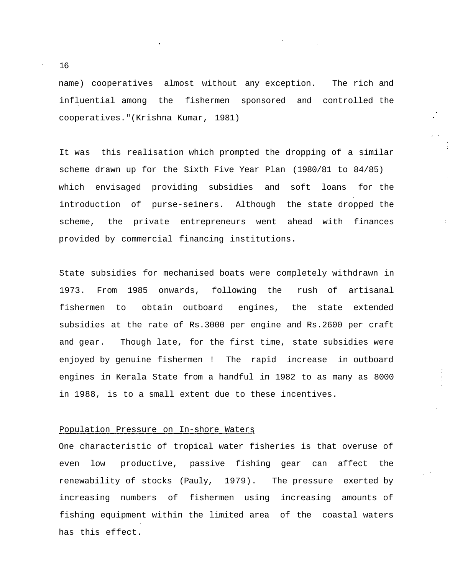name) cooperatives almost without any exception. The rich and influential among the fishermen sponsored and controlled the cooperatives."(Krishna Kumar, 1981)

It was this realisation which prompted the dropping of a similar scheme drawn up for the Sixth Five Year Plan (1980/81 to 84/85) which envisaged providing subsidies and soft loans for the introduction of purse-seiners. Although the state dropped the scheme, the private entrepreneurs went ahead with finances provided by commercial financing institutions.

State subsidies for mechanised boats were completely withdrawn in 1973. From 1985 onwards, following the rush of artisanal fishermen to obtain outboard engines, the state extended subsidies at the rate of Rs.3000 per engine and Rs.2600 per craft and gear. Though late, for the first time, state subsidies were enjoyed by genuine fishermen ! The rapid increase in outboard engines in Kerala State from a handful in 1982 to as many as 8000 in 1988, is to a small extent due to these incentives.

## Population Pressure on In-shore Waters

One characteristic of tropical water fisheries is that overuse of even low productive, passive fishing gear can affect the renewability of stocks (Pauly, 1979). The pressure exerted by increasing numbers of fishermen using increasing amounts of fishing equipment within the limited area of the coastal waters has this effect.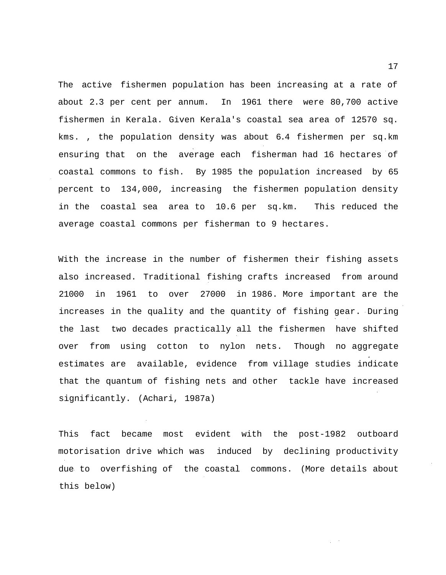The active fishermen population has been increasing at a rate of about 2.3 per cent per annum. In 1961 there were 80,700 active fishermen in Kerala. Given Kerala's coastal sea area of 12570 sq. kms. , the population density was about 6.4 fishermen per sq.km ensuring that on the average each fisherman had 16 hectares of coastal commons to fish. By 1985 the population increased by 65 percent to 134,000, increasing the fishermen population density in the coastal sea area to 10.6 per sq.km. This reduced the average coastal commons per fisherman to 9 hectares.

With the increase in the number of fishermen their fishing assets also increased. Traditional fishing crafts increased from around 21000 in 1961 to over 27000 in 1986. More important are the increases in the quality and the quantity of fishing gear. During the last two decades practically all the fishermen have shifted over from using cotton to nylon nets. Though no aggregate estimates are available, evidence from village studies indicate that the quantum of fishing nets and other tackle have increased significantly. (Achari, 1987a)

This fact became most evident with the post-1982 outboard motorisation drive which was induced by declining productivity due to overfishing of the coastal commons. (More details about this below)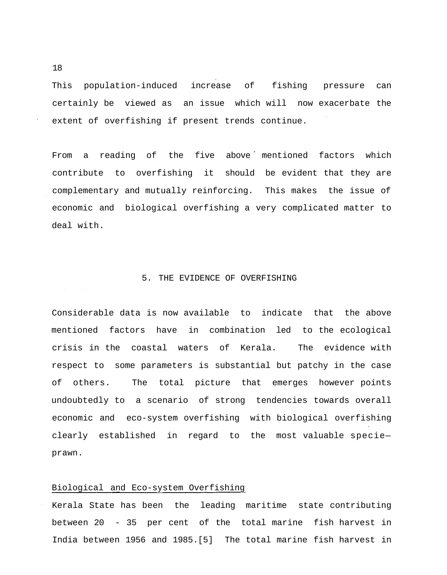This population-induced increase of fishing pressure can certainly be viewed as an issue which will now exacerbate the extent of overfishing if present trends continue.

From a reading of the five above mentioned factors which contribute to overfishing it should be evident that they are complementary and mutually reinforcing. This makes the issue of economic and biological overfishing a very complicated matter to deal with.

### 5. THE EVIDENCE OF OVERFISHING

Considerable data is now available to indicate that the above mentioned factors have in combination led to the ecological crisis in the coastal waters of Kerala. The evidence with respect to some parameters is substantial but patchy in the case of others. The total picture that emerges however points undoubtedly to a scenario of strong tendencies towards overall economic and eco-system overfishing with biological overfishing clearly established in regard to the most valuable specie prawn.

## Biological and Eco-system Overfishing

Kerala State has been the leading maritime state contributing between 20 - 35 per cent of the total marine fish harvest in India between 1956 and 1985.[5] The total marine fish harvest in

18

 $\Delta\phi$  and  $\phi$  and  $\Delta\phi$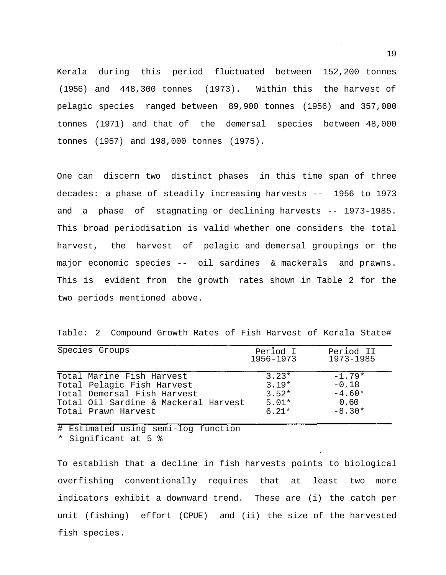Kerala during this period fluctuated between 152,200 tonnes (1956) and 448,300 tonnes (1973). Within this the harvest of pelagic species ranged between 89,900 tonnes (1956) and 357,000 tonnes (1971) and that of the demersal species between 48,000 tonnes (1957) and 198,000 tonnes (1975).

One can discern two distinct phases in this time span of three decades: a phase of steadily increasing harvests -- 1956 to 1973 and a phase of stagnating or declining harvests -- 1973-1985. This broad periodisation is valid whether one considers the total harvest, the harvest of pelagic and demersal groupings or the major economic species -- oil sardines & mackerals and prawns. This is evident from the growth rates shown in Table 2 for the two periods mentioned above.

Table: 2 Compound Growth Rates of Fish Harvest of Kerala State#

| Species Groups                       | Period I<br>1956-1973 | Period II<br>1973-1985 |
|--------------------------------------|-----------------------|------------------------|
| Total Marine Fish Harvest            | $3.23*$               | $-1.79*$               |
| Total Pelagic Fish Harvest           | $3.19*$               | $-0.18$                |
| Total Demersal Fish Harvest          | $3.52*$               | $-4.60*$               |
| Total Oil Sardine & Mackeral Harvest | $5.01*$               | 0.60                   |
| Total Prawn Harvest                  | $6.21*$               | $-8.30*$               |

# Estimated using semi-log function \* Significant at 5 %

To establish that a decline in fish harvests points to biological overfishing conventionally requires that at least two more indicators exhibit a downward trend. These are (i) the catch per unit (fishing) effort (CPUE) and (ii) the size of the harvested fish species.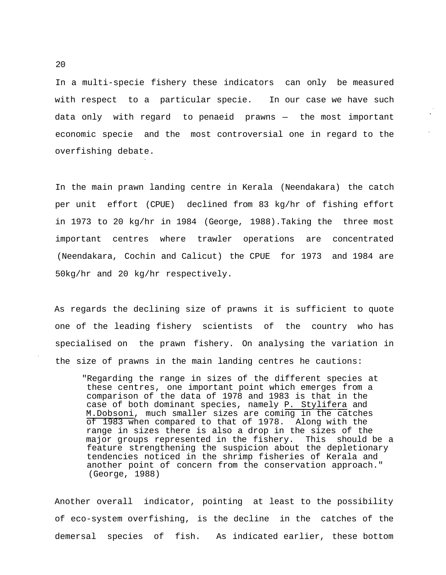In a multi-specie fishery these indicators can only be measured with respect to a particular specie. In our case we have such data only with regard to penaeid prawns — the most important economic specie and the most controversial one in regard to the overfishing debate.

In the main prawn landing centre in Kerala (Neendakara) the catch per unit effort (CPUE) declined from 83 kg/hr of fishing effort in 1973 to 20 kg/hr in 1984 (George, 1988).Taking the three most important centres where trawler operations are concentrated (Neendakara, Cochin and Calicut) the CPUE for 1973 and 1984 are 50kg/hr and 20 kg/hr respectively.

As regards the declining size of prawns it is sufficient to quote one of the leading fishery scientists of the country who has specialised on the prawn fishery. On analysing the variation in the size of prawns in the main landing centres he cautions:

"Regarding the range in sizes of the different species at these centres, one important point which emerges from a comparison of the data of 1978 and 1983 is that in the case of both dominant species, namely P. Stylifera and M.Dobsoni, much smaller sizes are coming in the catches of 1983 when compared to that of 1978. Along with the range in sizes there is also a drop in the sizes of the major groups represented in the fishery. This should be a feature strengthening the suspicion about the depletionary tendencies noticed in the shrimp fisheries of Kerala and another point of concern from the conservation approach." (George, 1988)

Another overall indicator, pointing at least to the possibility of eco-system overfishing, is the decline in the catches of the demersal species of fish. As indicated earlier, these bottom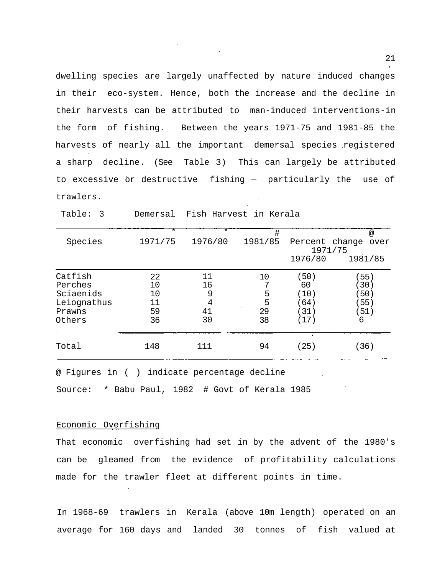dwelling species are largely unaffected by nature induced changes in their eco-system. Hence, both the increase and the decline in their harvests can be attributed to man-induced interventions-in the form of fishing. Between the years 1971-75 and 1981-85 the harvests of nearly all the important demersal species registered a sharp decline. (See Table 3) This can largely be attributed to excessive or destructive fishing — particularly the use of trawlers.

|             | $^\star$ | *       | #       |                | $^{\textregistered}$ |
|-------------|----------|---------|---------|----------------|----------------------|
| Species     | 1971/75  | 1976/80 | 1981/85 | Percent change | over                 |
|             |          |         |         |                | 1971/75              |
|             |          |         |         | 1976/80        | 1981/85              |
| Catfish     | 22       | 11      | 10      | (50)           | 55)                  |
| Perches     | 10       | 16      |         | 60             | (30)                 |
| Sciaenids   | 10       | 9       | 5       | (10)           | 50)                  |
| Leiognathus | 11       | 4       | 5       | 64)            | 55)                  |
| Prawns      | 59       | 41      | 29      | 31)            | 51)                  |
| Others      | 36       | 30      | 38      | (17)           | 6                    |
|             |          |         |         |                |                      |
| Total       | 148      | 111     | 94      | (25)           | (36)                 |

Table: 3 Demersal Fish Harvest in Kerala

@ Figures in ( ) indicate percentage decline

Source: \* Babu Paul, 1982 # Govt of Kerala 1985

#### Economic Overfishing

That economic overfishing had set in by the advent of the 1980's can be gleamed from the evidence of profitability calculations made for the trawler fleet at different points in time.

In 1968-69 trawlers in Kerala (above 10m length) operated on an average for 160 days and landed 30 tonnes of fish valued at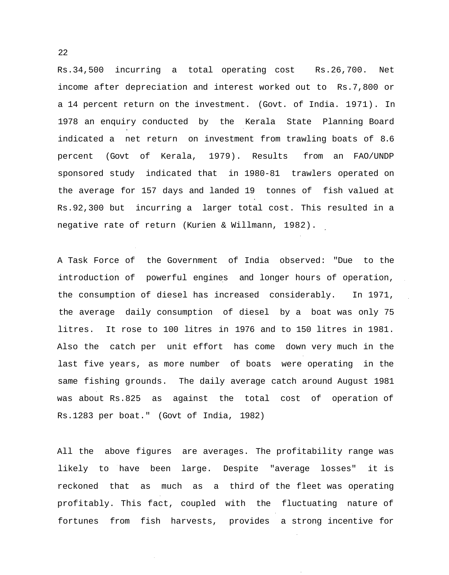Rs.34,500 incurring a total operating cost Rs.26,700. Net income after depreciation and interest worked out to Rs.7,800 or a 14 percent return on the investment. (Govt. of India. 1971). In 1978 an enquiry conducted by the Kerala State Planning Board indicated a net return on investment from trawling boats of 8.6 percent (Govt of Kerala, 1979). Results from an FAO/UNDP sponsored study indicated that in 1980-81 trawlers operated on the average for 157 days and landed 19 tonnes of fish valued at Rs.92,300 but incurring a larger total cost. This resulted in a negative rate of return (Kurien & Willmann, 1982).

A Task Force of the Government of India observed: "Due to the introduction of powerful engines and longer hours of operation, the consumption of diesel has increased considerably. In 1971, the average daily consumption of diesel by a boat was only 75 litres. It rose to 100 litres in 1976 and to 150 litres in 1981. Also the catch per unit effort has come down very much in the last five years, as more number of boats were operating in the same fishing grounds. The daily average catch around August 1981 was about Rs.825 as against the total cost of operation of Rs.1283 per boat." (Govt of India, 1982)

All the above figures are averages. The profitability range was likely to have been large. Despite "average losses" it is reckoned that as much as a third of the fleet was operating profitably. This fact, coupled with the fluctuating nature of fortunes from fish harvests, provides a strong incentive for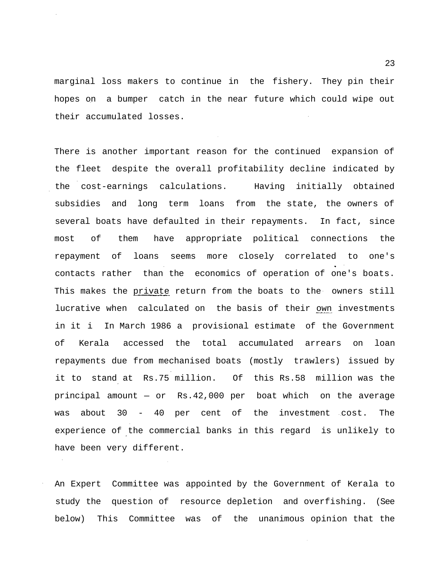marginal loss makers to continue in the fishery. They pin their hopes on a bumper catch in the near future which could wipe out their accumulated losses.

There is another important reason for the continued expansion of the fleet despite the overall profitability decline indicated by the cost-earnings calculations. Having initially obtained subsidies and long term loans from the state, the owners of several boats have defaulted in their repayments. In fact, since most of them have appropriate political connections the repayment of loans seems more closely correlated to one's contacts rather than the economics of operation of one's boats. This makes the private return from the boats to the owners still lucrative when calculated on the basis of their own investments in it i In March 1986 a provisional estimate of the Government of Kerala accessed the total accumulated arrears on loan repayments due from mechanised boats (mostly trawlers) issued by it to stand at Rs.75 million. Of this Rs.58 million was the principal amount — or Rs.42,000 per boat which on the average was about 30 - 40 per cent of the investment cost. The experience of the commercial banks in this regard is unlikely to have been very different.

An Expert Committee was appointed by the Government of Kerala to study the question of resource depletion and overfishing. (See below) This Committee was of the unanimous opinion that the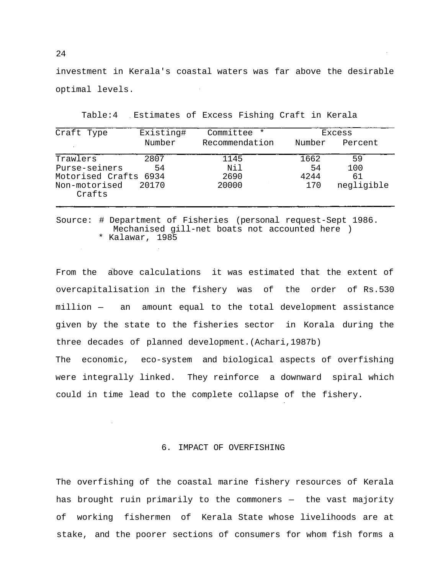investment in Kerala's coastal waters was far above the desirable optimal levels.

| Existing#             | Committee<br>$\star$ |        | Excess     |
|-----------------------|----------------------|--------|------------|
| Number                | Recommendation       | Number | Percent    |
| 2807                  | 1145                 | 1662   | 59         |
| 54                    | Nil                  | 54     | 100        |
| Motorised Crafts 6934 | 2690                 | 4244   | 61         |
| 20170                 | 20000                | 170    | negligible |
|                       |                      |        |            |

Table:4 Estimates of Excess Fishing Craft in Kerala

Source: # Department of Fisheries (personal request-Sept 1986. Mechanised gill-net boats not accounted here ) \* Kalawar, 1985

From the above calculations it was estimated that the extent of overcapitalisation in the fishery was of the order of Rs.530 million — an amount equal to the total development assistance given by the state to the fisheries sector in Korala during the three decades of planned development.(Achari,1987b)

The economic, eco-system and biological aspects of overfishing were integrally linked. They reinforce a downward spiral which could in time lead to the complete collapse of the fishery.

## 6. IMPACT OF OVERFISHING

The overfishing of the coastal marine fishery resources of Kerala has brought ruin primarily to the commoners — the vast majority of working fishermen of Kerala State whose livelihoods are at stake, and the poorer sections of consumers for whom fish forms a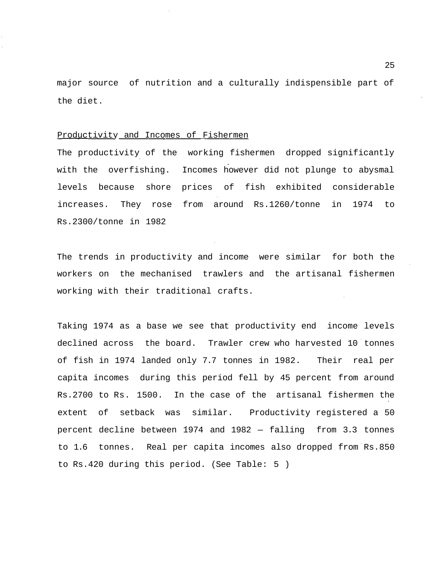major source of nutrition and a culturally indispensible part of the diet.

#### Productivity and Incomes of Fishermen

The productivity of the working fishermen dropped significantly with the overfishing. Incomes however did not plunge to abysmal levels because shore prices of fish exhibited considerable increases. They rose from around Rs.1260/tonne in 1974 to Rs.2300/tonne in 1982

The trends in productivity and income were similar for both the workers on the mechanised trawlers and the artisanal fishermen working with their traditional crafts.

Taking 1974 as a base we see that productivity end income levels declined across the board. Trawler crew who harvested 10 tonnes of fish in 1974 landed only 7.7 tonnes in 1982. Their real per capita incomes during this period fell by 45 percent from around Rs.2700 to Rs. 1500. In the case of the artisanal fishermen the extent of setback was similar. Productivity registered a 50 percent decline between 1974 and 1982 — falling from 3.3 tonnes to 1.6 tonnes. Real per capita incomes also dropped from Rs.850 to Rs.420 during this period. (See Table: 5 )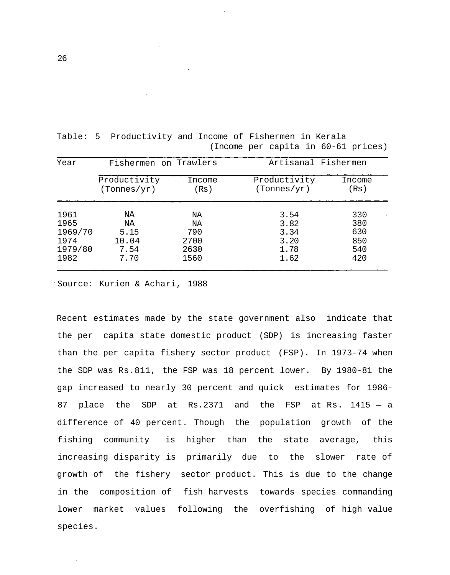| Year    | Fishermen on Trawlers |        | Artisanal Fishermen |        |  |
|---------|-----------------------|--------|---------------------|--------|--|
|         | Productivity          | Income | Productivity        | Income |  |
|         | (Tonnes/yr)           | (Rs )  | (Tonnes/yr)         | (Rs)   |  |
| 1961    | NA                    | ΝA     | 3.54                | 330    |  |
| 1965    | NA                    | ΝA     | 3.82                | 380    |  |
| 1969/70 | 5.15                  | 790    | 3.34                | 630    |  |
| 1974    | 10.04                 | 2700   | 3.20                | 850    |  |
| 1979/80 | 7.54                  | 2630   | 1.78                | 540    |  |
| 1982    | 7.70                  | 1560   | 1.62                | 420    |  |

Table: 5 Productivity and Income of Fishermen in Kerala (Income per capita in 60-61 prices)

Source: Kurien & Achari, 1988

Recent estimates made by the state government also indicate that the per capita state domestic product (SDP) is increasing faster than the per capita fishery sector product (FSP). In 1973-74 when the SDP was Rs.811, the FSP was 18 percent lower. By 1980-81 the gap increased to nearly 30 percent and quick estimates for 1986- 87 place the SDP at Rs.2371 and the FSP at Rs. 1415 — a difference of 40 percent. Though the population growth of the fishing community is higher than the state average, this increasing disparity is primarily due to the slower rate of growth of the fishery sector product. This is due to the change in the composition of fish harvests towards species commanding lower market values following the overfishing of high value species.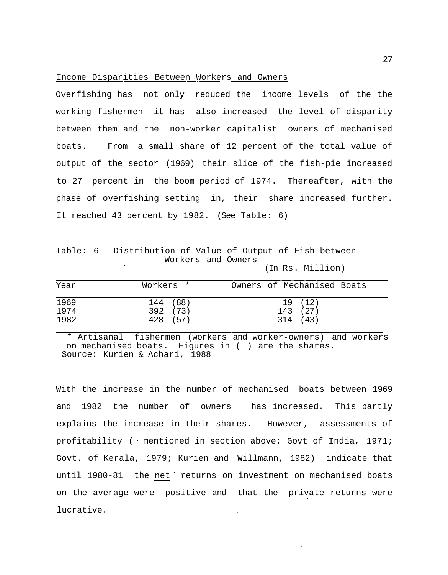### Income Disparities Between Workers and Owners

Overfishing has not only reduced the income levels of the the working fishermen it has also increased the level of disparity between them and the non-worker capitalist owners of mechanised boats. From a small share of 12 percent of the total value of output of the sector (1969) their slice of the fish-pie increased to 27 percent in the boom period of 1974. Thereafter, with the phase of overfishing setting in, their share increased further. It reached 43 percent by 1982. (See Table: 6)

Table: 6 Distribution of Value of Output of Fish between Workers and Owners

(In Rs. Million)

| Year | Workers * | Owners of Mechanised Boats |
|------|-----------|----------------------------|
| 1969 | 144 (88)  | 19 (12)                    |
| 1974 | 392 (73)  | 143 (27)                   |
| 1982 | 428 (57)  | 314 (43)                   |

\* Artisanal fishermen (workers and worker-owners) and workers on mechanised boats. Figures in ( ) are the shares. Source: Kurien & Achari, 1988

With the increase in the number of mechanised boats between 1969 and 1982 the number of owners has increased. This partly explains the increase in their shares. However, assessments of profitability ( mentioned in section above: Govt of India, 1971; Govt. of Kerala, 1979; Kurien and Willmann, 1982) indicate that until 1980-81 the net returns on investment on mechanised boats on the average were positive and that the private returns were lucrative.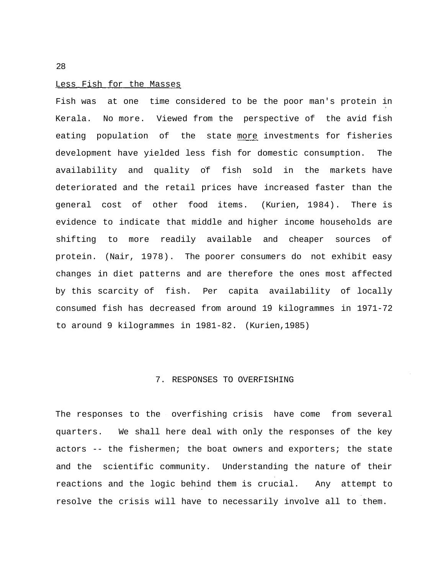#### Less Fish for the Masses

Fish was at one time considered to be the poor man's protein in Kerala. No more. Viewed from the perspective of the avid fish eating population of the state more investments for fisheries development have yielded less fish for domestic consumption. The availability and quality of fish sold in the markets have deteriorated and the retail prices have increased faster than the general cost of other food items. (Kurien, 1984). There is evidence to indicate that middle and higher income households are shifting to more readily available and cheaper sources of protein. (Nair, 1978). The poorer consumers do not exhibit easy changes in diet patterns and are therefore the ones most affected by this scarcity of fish. Per capita availability of locally consumed fish has decreased from around 19 kilogrammes in 1971-72 to around 9 kilogrammes in 1981-82. (Kurien,1985)

## 7. RESPONSES TO OVERFISHING

The responses to the overfishing crisis have come from several quarters. We shall here deal with only the responses of the key actors -- the fishermen; the boat owners and exporters; the state and the scientific community. Understanding the nature of their reactions and the logic behind them is crucial. Any attempt to resolve the crisis will have to necessarily involve all to them.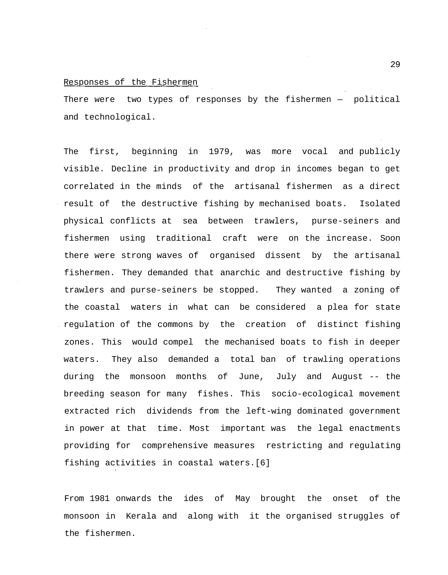## Responses of the Fishermen

There were two types of responses by the fishermen — political and technological.

The first, beginning in 1979, was more vocal and publicly visible. Decline in productivity and drop in incomes began to get correlated in the minds of the artisanal fishermen as a direct result of the destructive fishing by mechanised boats. Isolated physical conflicts at sea between trawlers, purse-seiners and fishermen using traditional craft were on the increase. Soon there were strong waves of organised dissent by the artisanal fishermen. They demanded that anarchic and destructive fishing by trawlers and purse-seiners be stopped. They wanted a zoning of the coastal waters in what can be considered a plea for state regulation of the commons by the creation of distinct fishing zones. This would compel the mechanised boats to fish in deeper waters. They also demanded a total ban of trawling operations during the monsoon months of June, July and August -- the breeding season for many fishes. This socio-ecological movement extracted rich dividends from the left-wing dominated government in power at that time. Most important was the legal enactments providing for comprehensive measures restricting and regulating fishing activities in coastal waters.[6]

From 1981 onwards the ides of May brought the onset of the monsoon in Kerala and along with it the organised struggles of the fishermen.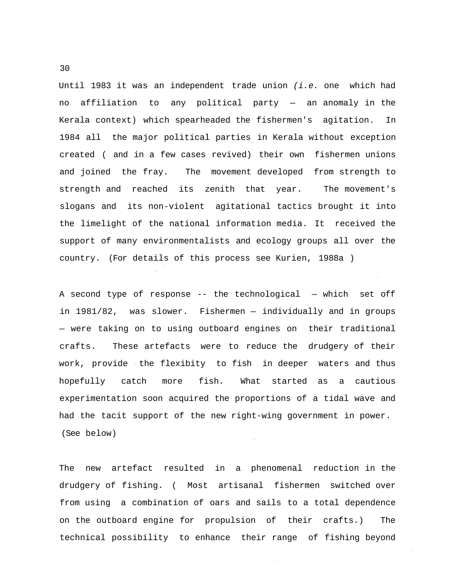Until 1983 it was an independent trade union  $(i.e.$  one which had no affiliation to any political party — an anomaly in the Kerala context) which spearheaded the fishermen's agitation. In 1984 all the major political parties in Kerala without exception created ( and in a few cases revived) their own fishermen unions and joined the fray. The movement developed from strength to strength and reached its zenith that year. The movement's slogans and its non-violent agitational tactics brought it into the limelight of the national information media. It received the support of many environmentalists and ecology groups all over the country. (For details of this process see Kurien, 1988a )

A second type of response -- the technological — which set off in 1981/82, was slower. Fishermen — individually and in groups — were taking on to using outboard engines on their traditional crafts. These artefacts were to reduce the drudgery of their work, provide the flexibity to fish in deeper waters and thus hopefully catch more fish. What started as a cautious experimentation soon acquired the proportions of a tidal wave and had the tacit support of the new right-wing government in power. (See below)

The new artefact resulted in a phenomenal reduction in the drudgery of fishing. ( Most artisanal fishermen switched over from using a combination of oars and sails to a total dependence on the outboard engine for propulsion of their crafts.) The technical possibility to enhance their range of fishing beyond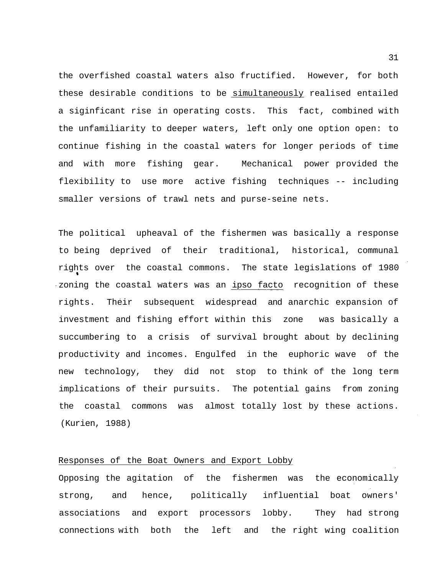the overfished coastal waters also fructified. However, for both these desirable conditions to be simultaneously realised entailed a siginficant rise in operating costs. This fact, combined with the unfamiliarity to deeper waters, left only one option open: to continue fishing in the coastal waters for longer periods of time and with more fishing gear. Mechanical power provided the flexibility to use more active fishing techniques -- including smaller versions of trawl nets and purse-seine nets.

The political upheaval of the fishermen was basically a response to being deprived of their traditional, historical, communal rights over the coastal commons. The state legislations of 1980 zoning the coastal waters was an ipso facto recognition of these rights. Their subsequent widespread and anarchic expansion of investment and fishing effort within this zone was basically a succumbering to a crisis of survival brought about by declining productivity and incomes. Engulfed in the euphoric wave of the new technology, they did not stop to think of the long term implications of their pursuits. The potential gains from zoning the coastal commons was almost totally lost by these actions. (Kurien, 1988)

## Responses of the Boat Owners and Export Lobby

Opposing the agitation of the fishermen was the economically strong, and hence, politically influential boat owners' associations and export processors lobby. They had strong connections with both the left and the right wing coalition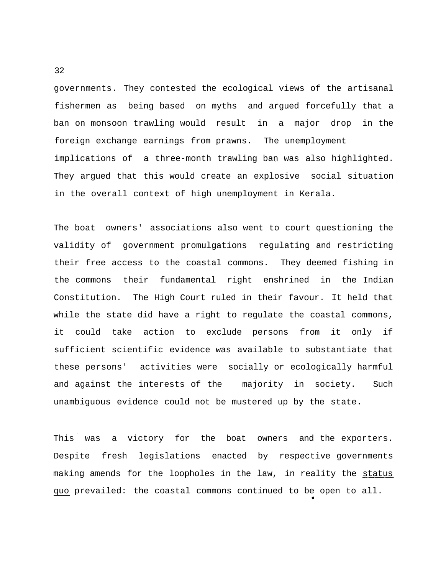governments. They contested the ecological views of the artisanal fishermen as being based on myths and argued forcefully that a ban on monsoon trawling would result in a major drop in the foreign exchange earnings from prawns. The unemployment implications of a three-month trawling ban was also highlighted. They argued that this would create an explosive social situation in the overall context of high unemployment in Kerala.

The boat owners' associations also went to court questioning the validity of government promulgations regulating and restricting their free access to the coastal commons. They deemed fishing in the commons their fundamental right enshrined in the Indian Constitution. The High Court ruled in their favour. It held that while the state did have a right to regulate the coastal commons, it could take action to exclude persons from it only if sufficient scientific evidence was available to substantiate that these persons' activities were socially or ecologically harmful and against the interests of the majority in society. Such unambiguous evidence could not be mustered up by the state.  $\sim 10$ 

This was a victory for the boat owners and the exporters. Despite fresh legislations enacted by respective governments making amends for the loopholes in the law, in reality the status quo prevailed: the coastal commons continued to be open to all.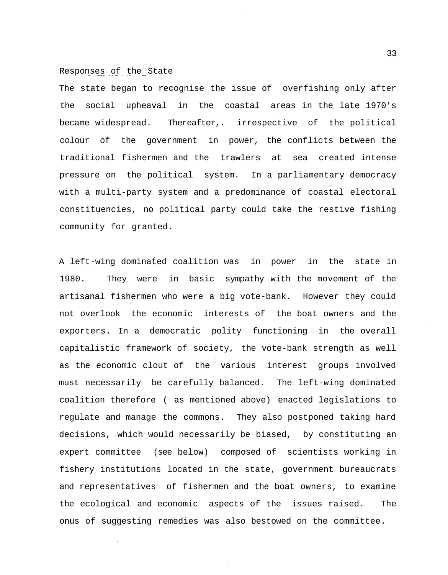### Responses of the State

The state began to recognise the issue of overfishing only after the social upheaval in the coastal areas in the late 1970's became widespread. Thereafter,. irrespective of the political colour of the government in power, the conflicts between the traditional fishermen and the trawlers at sea created intense pressure on the political system. In a parliamentary democracy with a multi-party system and a predominance of coastal electoral constituencies, no political party could take the restive fishing community for granted.

A left-wing dominated coalition was in power in the state in 1980. They were in basic sympathy with the movement of the artisanal fishermen who were a big vote-bank. However they could not overlook the economic interests of the boat owners and the exporters. In a democratic polity functioning in the overall capitalistic framework of society, the vote-bank strength as well as the economic clout of the various interest groups involved must necessarily be carefully balanced. The left-wing dominated coalition therefore ( as mentioned above) enacted legislations to regulate and manage the commons. They also postponed taking hard decisions, which would necessarily be biased, by constituting an expert committee (see below) composed of scientists working in fishery institutions located in the state, government bureaucrats and representatives of fishermen and the boat owners, to examine the ecological and economic aspects of the issues raised. The onus of suggesting remedies was also bestowed on the committee.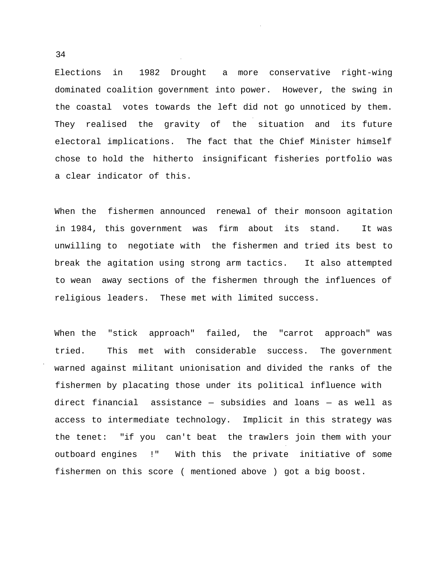Elections in 1982 Drought a more conservative right-wing dominated coalition government into power. However, the swing in the coastal votes towards the left did not go unnoticed by them. They realised the gravity of the situation and its future electoral implications. The fact that the Chief Minister himself chose to hold the hitherto insignificant fisheries portfolio was a clear indicator of this.

When the fishermen announced renewal of their monsoon agitation in 1984, this government was firm about its stand. It was unwilling to negotiate with the fishermen and tried its best to break the agitation using strong arm tactics. It also attempted to wean away sections of the fishermen through the influences of religious leaders. These met with limited success.

When the "stick approach" failed, the "carrot approach" was tried. This met with considerable success. The government warned against militant unionisation and divided the ranks of the fishermen by placating those under its political influence with direct financial assistance — subsidies and loans — as well as access to intermediate technology. Implicit in this strategy was the tenet: "if you can't beat the trawlers join them with your outboard engines !" With this the private initiative of some fishermen on this score ( mentioned above ) got a big boost.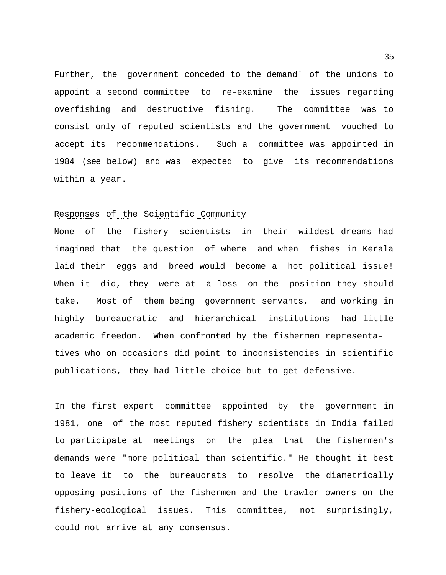Further, the government conceded to the demand' of the unions to appoint a second committee to re-examine the issues regarding overfishing and destructive fishing. The committee was to consist only of reputed scientists and the government vouched to accept its recommendations. Such a committee was appointed in 1984 (see below) and was expected to give its recommendations within a year.

## Responses of the Scientific Community

None of the fishery scientists in their wildest dreams had imagined that the question of where and when fishes in Kerala laid their eggs and breed would become a hot political issue! When it did, they were at a loss on the position they should take. Most of them being government servants, and working in highly bureaucratic and hierarchical institutions had little academic freedom. When confronted by the fishermen representatives who on occasions did point to inconsistencies in scientific publications, they had little choice but to get defensive.

In the first expert committee appointed by the government in 1981, one of the most reputed fishery scientists in India failed to participate at meetings on the plea that the fishermen's demands were "more political than scientific." He thought it best to leave it to the bureaucrats to resolve the diametrically opposing positions of the fishermen and the trawler owners on the fishery-ecological issues. This committee, not surprisingly, could not arrive at any consensus.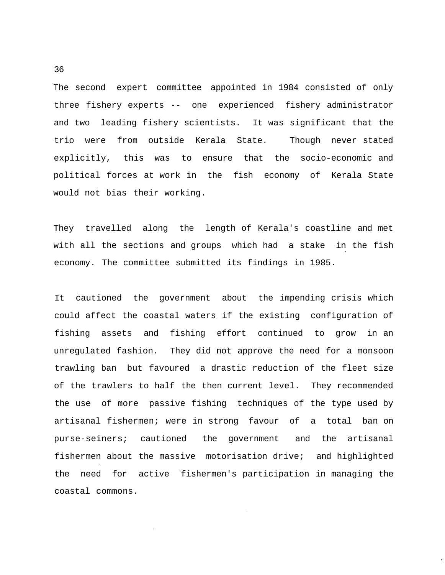The second expert committee appointed in 1984 consisted of only three fishery experts -- one experienced fishery administrator and two leading fishery scientists. It was significant that the trio were from outside Kerala State. Though never stated explicitly, this was to ensure that the socio-economic and political forces at work in the fish economy of Kerala State would not bias their working.

They travelled along the length of Kerala's coastline and met with all the sections and groups which had a stake in the fish economy. The committee submitted its findings in 1985.

It cautioned the government about the impending crisis which could affect the coastal waters if the existing configuration of fishing assets and fishing effort continued to grow in an unregulated fashion. They did not approve the need for a monsoon trawling ban but favoured a drastic reduction of the fleet size of the trawlers to half the then current level. They recommended the use of more passive fishing techniques of the type used by artisanal fishermen; were in strong favour of a total ban on purse-seiners; cautioned the government and the artisanal fishermen about the massive motorisation drive; and highlighted the need for active fishermen's participation in managing the coastal commons.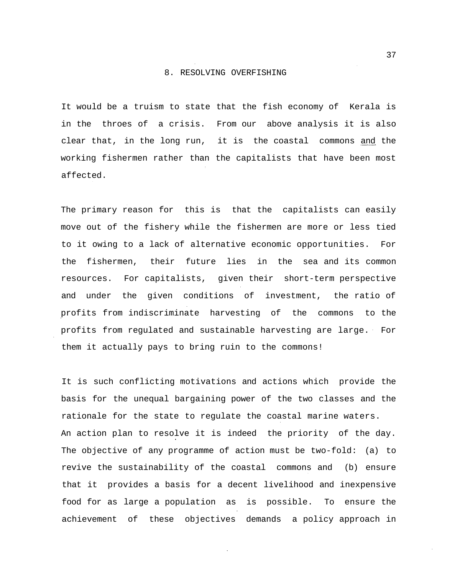#### 8. RESOLVING OVERFISHING

It would be a truism to state that the fish economy of Kerala is in the throes of a crisis. From our above analysis it is also clear that, in the long run, it is the coastal commons and the working fishermen rather than the capitalists that have been most affected.

The primary reason for this is that the capitalists can easily move out of the fishery while the fishermen are more or less tied to it owing to a lack of alternative economic opportunities. For the fishermen, their future lies in the sea and its common resources. For capitalists, given their short-term perspective and under the given conditions of investment, the ratio of profits from indiscriminate harvesting of the commons to the profits from regulated and sustainable harvesting are large. For them it actually pays to bring ruin to the commons!

It is such conflicting motivations and actions which provide the basis for the unequal bargaining power of the two classes and the rationale for the state to regulate the coastal marine waters. An action plan to resolve it is indeed the priority of the day. The objective of any programme of action must be two-fold: (a) to revive the sustainability of the coastal commons and (b) ensure that it provides a basis for a decent livelihood and inexpensive food for as large a population as is possible. To ensure the achievement of these objectives demands a policy approach in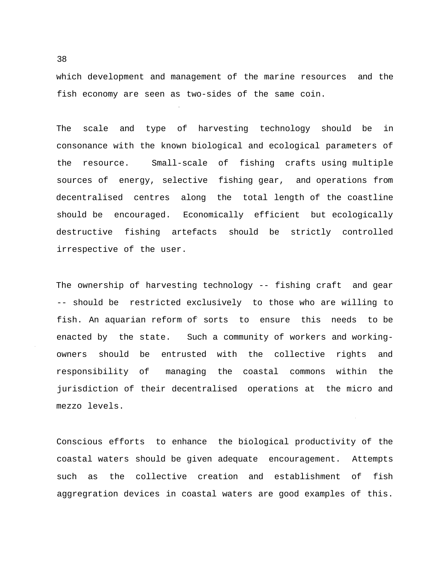which development and management of the marine resources and the fish economy are seen as two-sides of the same coin.

The scale and type of harvesting technology should be in consonance with the known biological and ecological parameters of the resource. Small-scale of fishing crafts using multiple sources of energy, selective fishing gear, and operations from decentralised centres along the total length of the coastline should be encouraged. Economically efficient but ecologically destructive fishing artefacts should be strictly controlled irrespective of the user.

The ownership of harvesting technology -- fishing craft and gear -- should be restricted exclusively to those who are willing to fish. An aquarian reform of sorts to ensure this needs to be enacted by the state. Such a community of workers and workingowners should be entrusted with the collective rights and responsibility of managing the coastal commons within the jurisdiction of their decentralised operations at the micro and mezzo levels.

Conscious efforts to enhance the biological productivity of the coastal waters should be given adequate encouragement. Attempts such as the collective creation and establishment of fish aggregration devices in coastal waters are good examples of this.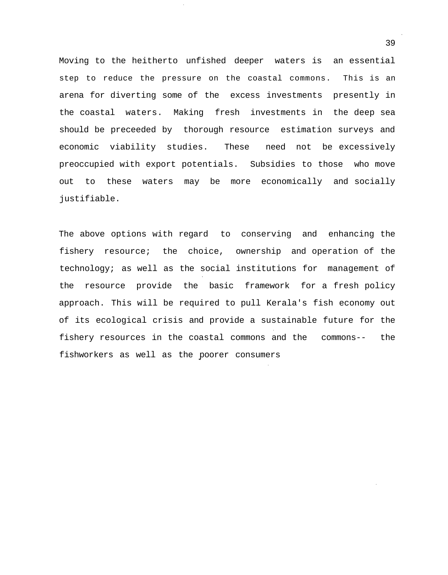Moving to the heitherto unfished deeper waters is an essential step to reduce the pressure on the coastal commons. This is an arena for diverting some of the excess investments presently in the coastal waters. Making fresh investments in the deep sea should be preceeded by thorough resource estimation surveys and economic viability studies. These need not be excessively preoccupied with export potentials. Subsidies to those who move out to these waters may be more economically and socially justifiable.

The above options with regard to conserving and enhancing the fishery resource; the choice, ownership and operation of the technology; as well as the social institutions for management of the resource provide the basic framework for a fresh policy approach. This will be required to pull Kerala's fish economy out of its ecological crisis and provide a sustainable future for the fishery resources in the coastal commons and the commons-- the fishworkers as well as the poorer consumers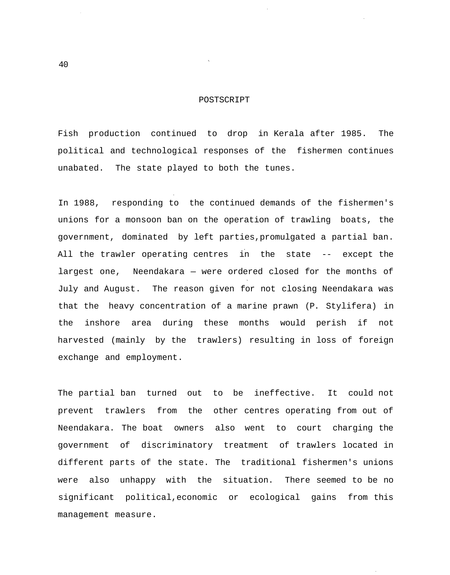### POSTSCRIPT

Fish production continued to drop in Kerala after 1985. The political and technological responses of the fishermen continues unabated. The state played to both the tunes.

In 1988, responding to the continued demands of the fishermen's unions for a monsoon ban on the operation of trawling boats, the government, dominated by left parties,promulgated a partial ban. All the trawler operating centres in the state -- except the largest one, Neendakara — were ordered closed for the months of July and August. The reason given for not closing Neendakara was that the heavy concentration of a marine prawn (P. Stylifera) in the inshore area during these months would perish if not harvested (mainly by the trawlers) resulting in loss of foreign exchange and employment.

The partial ban turned out to be ineffective. It could not prevent trawlers from the other centres operating from out of Neendakara. The boat owners also went to court charging the government of discriminatory treatment of trawlers located in different parts of the state. The traditional fishermen's unions were also unhappy with the situation. There seemed to be no significant political,economic or ecological gains from this management measure.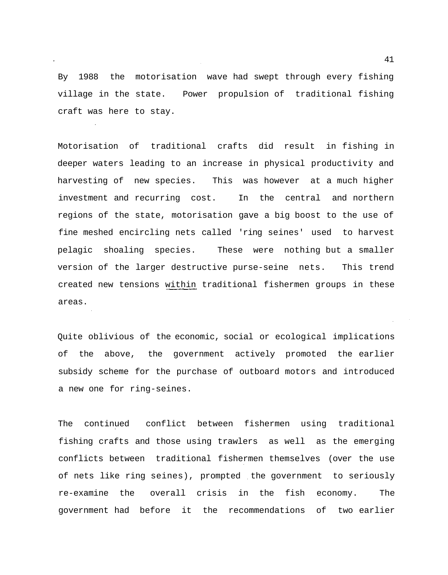By 1988 the motorisation wave had swept through every fishing village in the state. Power propulsion of traditional fishing craft was here to stay.

Motorisation of traditional crafts did result in fishing in deeper waters leading to an increase in physical productivity and harvesting of new species. This was however at a much higher investment and recurring cost. In the central and northern regions of the state, motorisation gave a big boost to the use of fine meshed encircling nets called 'ring seines' used to harvest pelagic shoaling species. These were nothing but a smaller version of the larger destructive purse-seine nets. This trend created new tensions within traditional fishermen groups in these areas.

Quite oblivious of the economic, social or ecological implications of the above, the government actively promoted the earlier subsidy scheme for the purchase of outboard motors and introduced a new one for ring-seines.

The continued conflict between fishermen using traditional fishing crafts and those using trawlers as well as the emerging conflicts between traditional fishermen themselves (over the use of nets like ring seines), prompted the government to seriously re-examine the overall crisis in the fish economy. The government had before it the recommendations of two earlier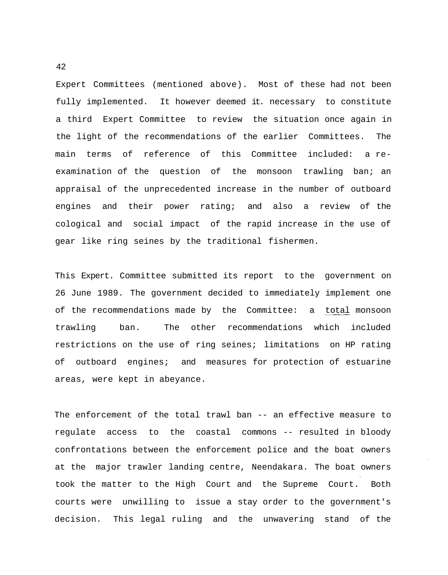Expert Committees (mentioned above). Most of these had not been fully implemented. It however deemed it. necessary to constitute a third Expert Committee to review the situation once again in the light of the recommendations of the earlier Committees. The main terms of reference of this Committee included: a reexamination of the question of the monsoon trawling ban; an appraisal of the unprecedented increase in the number of outboard engines and their power rating; and also a review of the cological and social impact of the rapid increase in the use of gear like ring seines by the traditional fishermen.

This Expert. Committee submitted its report to the government on 26 June 1989. The government decided to immediately implement one of the recommendations made by the Committee: a total monsoon trawling ban. The other recommendations which included restrictions on the use of ring seines; limitations on HP rating of outboard engines; and measures for protection of estuarine areas, were kept in abeyance.

The enforcement of the total trawl ban -- an effective measure to regulate access to the coastal commons -- resulted in bloody confrontations between the enforcement police and the boat owners at the major trawler landing centre, Neendakara. The boat owners took the matter to the High Court and the Supreme Court. Both courts were unwilling to issue a stay order to the government's decision. This legal ruling and the unwavering stand of the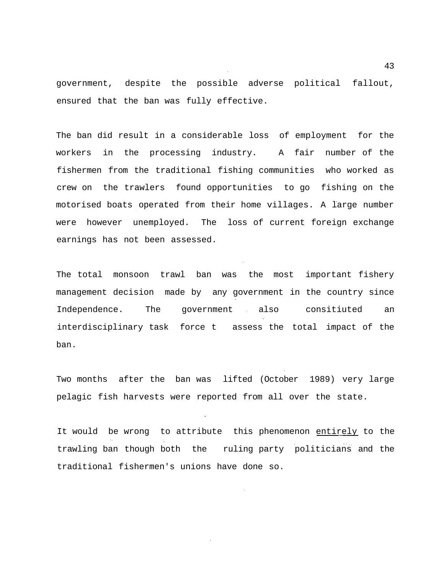government, despite the possible adverse political fallout, ensured that the ban was fully effective.

The ban did result in a considerable loss of employment for the workers in the processing industry. A fair number of the fishermen from the traditional fishing communities who worked as crew on the trawlers found opportunities to go fishing on the motorised boats operated from their home villages. A large number were however unemployed. The loss of current foreign exchange earnings has not been assessed.

The total monsoon trawl ban was the most important fishery management decision made by any government in the country since Independence. The government also consitiuted an interdisciplinary task force t assess the total impact of the ban.

Two months after the ban was lifted (October 1989) very large pelagic fish harvests were reported from all over the state.

It would be wrong to attribute this phenomenon entirely to the trawling ban though both the ruling party politicians and the traditional fishermen's unions have done so.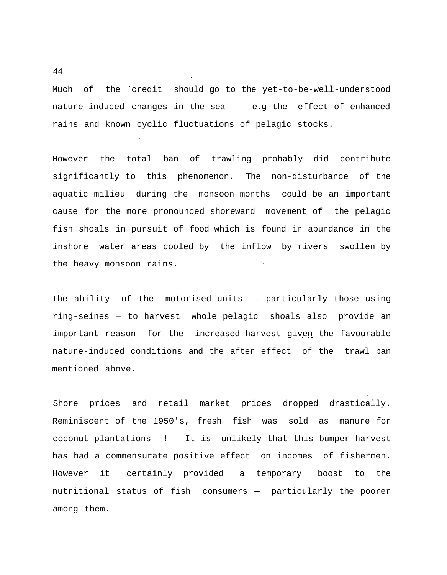Much of the credit should go to the yet-to-be-well-understood nature-induced changes in the sea -- e.g the effect of enhanced rains and known cyclic fluctuations of pelagic stocks.

However the total ban of trawling probably did contribute significantly to this phenomenon. The non-disturbance of the aquatic milieu during the monsoon months could be an important cause for the more pronounced shoreward movement of the pelagic fish shoals in pursuit of food which is found in abundance in the inshore water areas cooled by the inflow by rivers swollen by the heavy monsoon rains.

The ability of the motorised units — particularly those using ring-seines — to harvest whole pelagic shoals also provide an important reason for the increased harvest given the favourable nature-induced conditions and the after effect of the trawl ban mentioned above.

Shore prices and retail market prices dropped drastically. Reminiscent of the 1950's, fresh fish was sold as manure for coconut plantations ! It is unlikely that this bumper harvest has had a commensurate positive effect on incomes of fishermen. However it certainly provided a temporary boost to the nutritional status of fish consumers — particularly the poorer among them.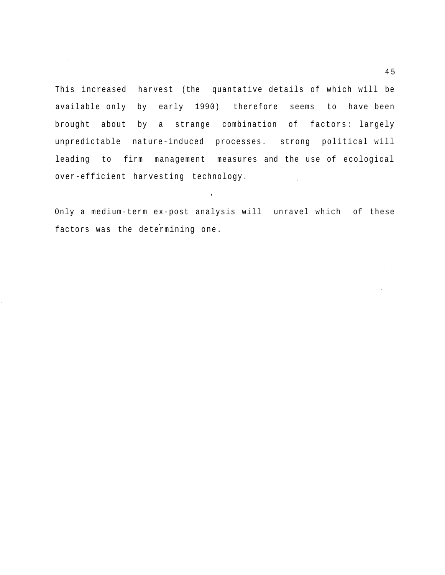This increased harvest (the quantative details of which will be available only by early 1990) therefore seems to have been brought about by a strange combination of factors: largely unpredictable nature-induced processes. strong political will leading to firm management measures and the use of ecological over-efficient harvesting technology. in a

 $\frac{1}{\sqrt{2\pi}}\left(\frac{1}{\sqrt{2\pi}}\right)^{2}$ 

Only a medium-term ex-post analysis will unravel which of these factors was the determining one.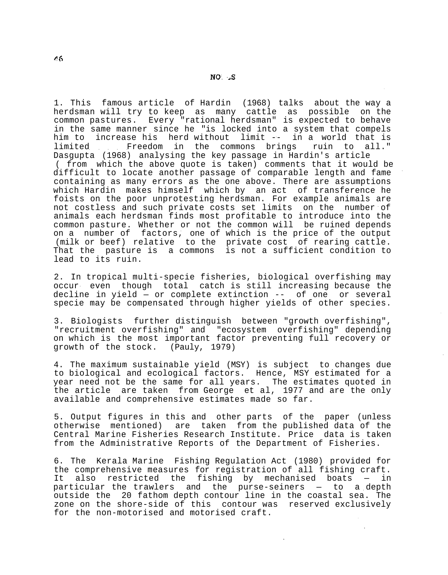1. This famous article of Hardin (1968) talks about the way a herdsman will try to keep as many cattle as possible on the common pastures. Every "rational herdsman" is expected to behave in the same manner since he "is locked into a system that compels him to increase his herd without limit -- in a world that is limited Freedom in the commons brings ruin to all." Dasgupta (1968) analysing the key passage in Hardin's article ( from which the above quote is taken) comments that it would be difficult to locate another passage of comparable length and fame containing as many errors as the one above. There are assumptions which Hardin makes himself which by an act of transference he foists on the poor unprotesting herdsman. For example animals are not costless and such private costs set limits on the number of animals each herdsman finds most profitable to introduce into the common pasture. Whether or not the common will be ruined depends on a number of factors, one of which is the price of the output (milk or beef) relative to the private cost of rearing cattle. That the pasture is a commons is not a sufficient condition to lead to its ruin.

2. In tropical multi-specie fisheries, biological overfishing may occur even though total catch is still increasing because the decline in yield — or complete extinction -- of one or several specie may be compensated through higher yields of other species.

3. Biologists further distinguish between "growth overfishing", "recruitment overfishing" and "ecosystem overfishing" depending on which is the most important factor preventing full recovery or growth of the stock. (Pauly, 1979)

4. The maximum sustainable yield (MSY) is subject to changes due to biological and ecological factors. Hence, MSY estimated for a year need not be the same for all years. The estimates quoted in the article are taken from George et al, 1977 and are the only available and comprehensive estimates made so far.

5. Output figures in this and other parts of the paper (unless otherwise mentioned) are taken from the published data of the Central Marine Fisheries Research Institute. Price data is taken from the Administrative Reports of the Department of Fisheries.

6. The Kerala Marine Fishing Regulation Act (1980) provided for the comprehensive measures for registration of all fishing craft. It also restricted the fishing by mechanised boats — in particular the trawlers and the purse-seiners — to a depth outside the 20 fathom depth contour line in the coastal sea. The zone on the shore-side of this contour was reserved exclusively for the non-motorised and motorised craft.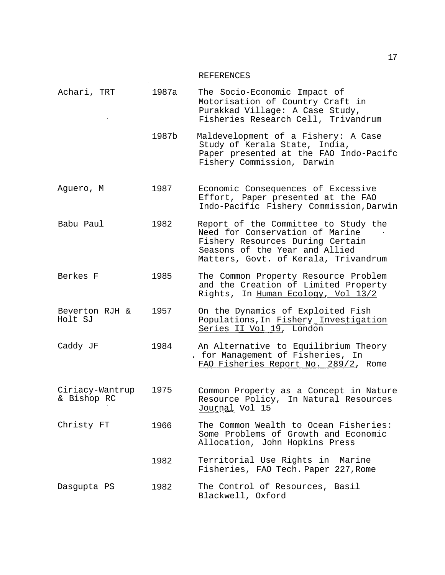# REFERENCES

|                                |       | IVDI DIVDINCIDO                                                                                                                                                                       |
|--------------------------------|-------|---------------------------------------------------------------------------------------------------------------------------------------------------------------------------------------|
| Achari, TRT                    | 1987a | The Socio-Economic Impact of<br>Motorisation of Country Craft in<br>Purakkad Village: A Case Study,<br>Fisheries Research Cell, Trivandrum                                            |
|                                | 1987b | Maldevelopment of a Fishery: A Case<br>Study of Kerala State, India,<br>Paper presented at the FAO Indo-Pacifc<br>Fishery Commission, Darwin                                          |
| Aguero, M                      | 1987  | Economic Consequences of Excessive<br>Effort, Paper presented at the FAO<br>Indo-Pacific Fishery Commission, Darwin                                                                   |
| Babu Paul                      | 1982  | Report of the Committee to Study the<br>Need for Conservation of Marine<br>Fishery Resources During Certain<br>Seasons of the Year and Allied<br>Matters, Govt. of Kerala, Trivandrum |
| Berkes F                       | 1985  | The Common Property Resource Problem<br>and the Creation of Limited Property<br>Rights, In Human Ecology, Vol 13/2                                                                    |
| Beverton RJH &<br>Holt SJ      | 1957  | On the Dynamics of Exploited Fish<br>Populations, In Fishery Investigation<br>Series II Vol 19, London                                                                                |
| Caddy JF                       | 1984  | An Alternative to Equilibrium Theory<br>. for Management of Fisheries, In<br>FAO Fisheries Report No. 289/2, Rome                                                                     |
| Ciriacy-Wantrup<br>& Bishop RC | 1975  | Common Property as a Concept in Nature<br>Resource Policy, In Natural Resources<br>Journal Vol 15                                                                                     |
| Christy FT                     | 1966  | The Common Wealth to Ocean Fisheries:<br>Some Problems of Growth and Economic<br>Allocation, John Hopkins Press                                                                       |
|                                | 1982  | Territorial Use Rights in Marine<br>Fisheries, FAO Tech. Paper 227, Rome                                                                                                              |
| Dasgupta PS                    | 1982  | The Control of Resources, Basil<br>Blackwell, Oxford                                                                                                                                  |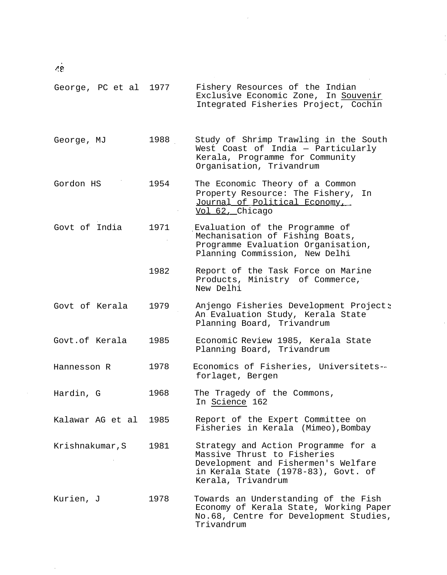$\vec{28}$ 

 $\hat{\mathcal{A}}$ 

 $\mathcal{A}^{\mathcal{A}}$ 

| George, PC et al 1977 |      | Fishery Resources of the Indian<br>Exclusive Economic Zone, In Souvenir<br>Integrated Fisheries Project, Cochin                                                        |
|-----------------------|------|------------------------------------------------------------------------------------------------------------------------------------------------------------------------|
| George, MJ            | 1988 | Study of Shrimp Trawling in the South<br>West Coast of India - Particularly<br>Kerala, Programme for Community<br>Organisation, Trivandrum                             |
| Gordon HS             | 1954 | The Economic Theory of a Common<br>Property Resource: The Fishery, In<br>Journal of Political Economy,<br>Vol 62, Chicago                                              |
| Govt of India         | 1971 | Evaluation of the Programme of<br>Mechanisation of Fishing Boats,<br>Programme Evaluation Organisation,<br>Planning Commission, New Delhi                              |
|                       | 1982 | Report of the Task Force on Marine<br>Products, Ministry of Commerce,<br>New Delhi                                                                                     |
| Govt of Kerala        | 1979 | Anjengo Fisheries Development Project:<br>An Evaluation Study, Kerala State<br>Planning Board, Trivandrum                                                              |
| Govt.of Kerala        | 1985 | EconomiC Review 1985, Kerala State<br>Planning Board, Trivandrum                                                                                                       |
| Hannesson R           | 1978 | Economics of Fisheries, Universitets-<br>forlaget, Bergen                                                                                                              |
| Hardin, G             | 1968 | The Tragedy of the Commons,<br>In Science 162                                                                                                                          |
| Kalawar AG et al      | 1985 | Report of the Expert Committee on<br>Fisheries in Kerala (Mimeo), Bombay                                                                                               |
| Krishnakumar, S       | 1981 | Strategy and Action Programme for a<br>Massive Thrust to Fisheries<br>Development and Fishermen's Welfare<br>in Kerala State (1978-83), Govt. of<br>Kerala, Trivandrum |
| Kurien, J             | 1978 | Towards an Understanding of the Fish<br>Economy of Kerala State, Working Paper<br>No.68, Centre for Development Studies,<br>Trivandrum                                 |

 $\bar{\mathcal{A}}$ 

Ĵ,

 $\frac{1}{2}$ 

 $\frac{1}{2}$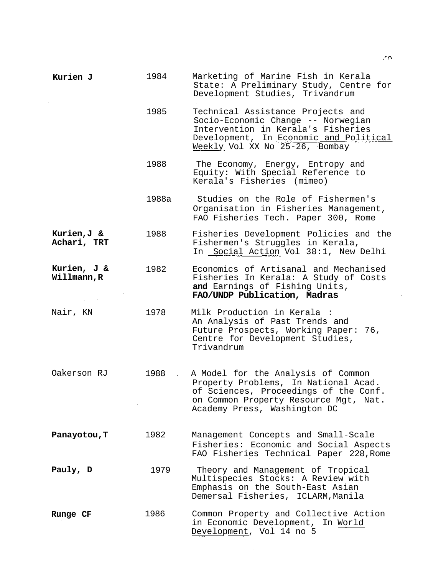| Kurien J                   | 1984  | Marketing of Marine Fish in Kerala<br>State: A Preliminary Study, Centre for<br>Development Studies, Trivandrum                                                                              |
|----------------------------|-------|----------------------------------------------------------------------------------------------------------------------------------------------------------------------------------------------|
|                            | 1985  | Technical Assistance Projects and<br>Socio-Economic Change -- Norwegian<br>Intervention in Kerala's Fisheries<br>Development, In Economic and Political<br>Weekly Vol XX No 25-26, Bombay    |
|                            | 1988  | The Economy, Energy, Entropy and<br>Equity: With Special Reference to<br>Kerala's Fisheries (mimeo)                                                                                          |
|                            | 1988a | Studies on the Role of Fishermen's<br>Organisation in Fisheries Management,<br>FAO Fisheries Tech. Paper 300, Rome                                                                           |
| Kurien,J &<br>Achari, TRT  | 1988  | Fisheries Development Policies and the<br>Fishermen's Struggles in Kerala,<br>In Social Action Vol 38:1, New Delhi                                                                           |
| Kurien, J &<br>Willmann, R | 1982  | Economics of Artisanal and Mechanised<br>Fisheries In Kerala: A Study of Costs<br>and Earnings of Fishing Units,<br>FAO/UNDP Publication, Madras                                             |
| Nair, KN                   | 1978  | Milk Production in Kerala :<br>An Analysis of Past Trends and<br>Future Prospects, Working Paper:<br>76,<br>Centre for Development Studies,<br>Trivandrum                                    |
| Oakerson RJ                | 1988  | A Model for the Analysis of Common<br>Property Problems, In National Acad.<br>of Sciences, Proceedings of the Conf.<br>on Common Property Resource Mgt, Nat.<br>Academy Press, Washington DC |
| Panayotou, T               | 1982  | Management Concepts and Small-Scale<br>Fisheries: Economic and Social Aspects<br>FAO Fisheries Technical Paper 228, Rome                                                                     |
| Pauly, D                   | 1979  | Theory and Management of Tropical<br>Multispecies Stocks: A Review with<br>Emphasis on the South-East Asian<br>Demersal Fisheries, ICLARM, Manila                                            |
| Runge CF                   | 1986  | Common Property and Collective Action<br>in Economic Development, In World<br>Development, Vol 14 no 5                                                                                       |

 $\mathcal{L}^{\text{max}}_{\text{max}}$  and  $\mathcal{L}^{\text{max}}_{\text{max}}$ 

 $\hat{p}_{\rm{max}}$ 

 $\zeta\hat{\phi}$